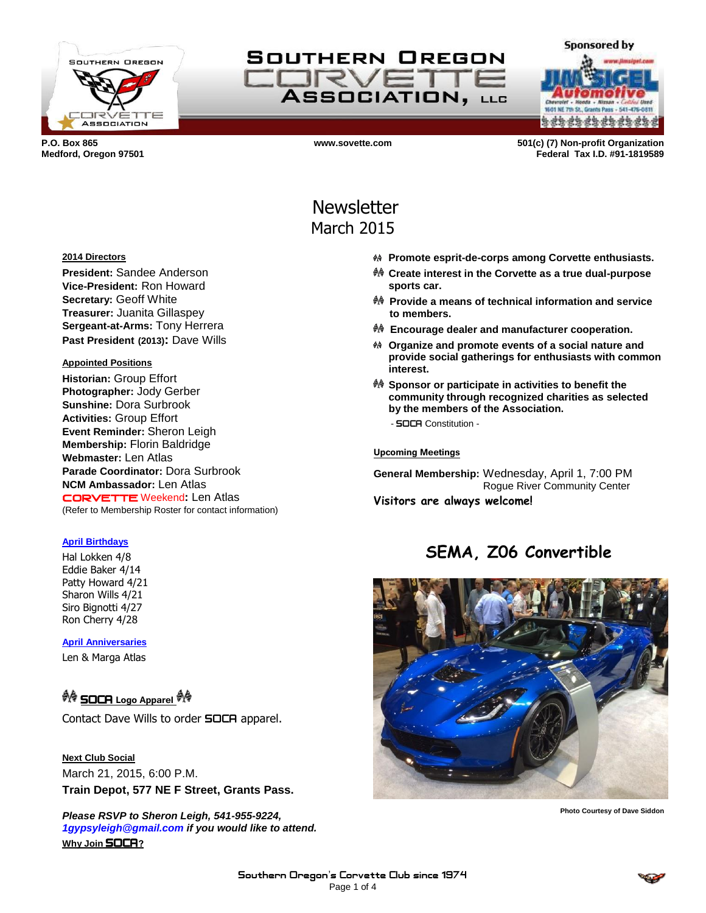

SOUTHERN OREGON  $J$  $\approx$ **ASSOCIATION, LLG** 

**Sponsored by a da da da da da da da** 

**P.O. Box 865 www.sovette.com 501(c) (7) Non-profit Organization Medford, Oregon 97501 Federal Tax I.D. #91-1819589**

# **Newsletter** March 2015

- **Promote esprit-de-corps among Corvette enthusiasts.**
- **Create interest in the Corvette as a true dual-purpose sports car.**
- **Provide a means of technical information and service to members.**
- **Encourage dealer and manufacturer cooperation.**
- **Organize and promote events of a social nature and provide social gatherings for enthusiasts with common interest.**
- **Sponsor or participate in activities to benefit the community through recognized charities as selected by the members of the Association.**
	- SOCA Constitution -

#### **Upcoming Meetings**

**General Membership:** Wednesday, April 1, 7:00 PM Rogue River Community Center **Visitors are always welcome!**

# **SEMA, Z06 Convertible**



**Photo Courtesy of Dave Siddon**

**2014 Directors**

**President:** Sandee Anderson **Vice-President:** Ron Howard **Secretary:** Geoff White **Treasurer:** Juanita Gillaspey **Sergeant-at-Arms:** Tony Herrera **Past President (2013):** Dave Wills

#### **Appointed Positions**

**Historian:** Group Effort **Photographer:** Jody Gerber **Sunshine:** Dora Surbrook **Activities:** Group Effort **Event Reminder:** Sheron Leigh **Membership:** Florin Baldridge **Webmaster:** Len Atlas **Parade Coordinator:** Dora Surbrook **NCM Ambassador:** Len Atlas CORVETTE Weekend**:** Len Atlas (Refer to Membership Roster for contact information)

#### **April Birthdays**

Hal Lokken 4/8 Eddie Baker 4/14 Patty Howard 4/21 Sharon Wills 4/21 Siro Bignotti 4/27 Ron Cherry 4/28

**April Anniversaries**

Len & Marga Atlas

## **A SOCA** Logo Apparel

Contact Dave Wills to order **SOCA** apparel.

**Next Club Social** March 21, 2015, 6:00 P.M. **Train Depot, 577 NE F Street, Grants Pass.**

*Please RSVP to Sheron Leigh, 541-955-9224, 1gypsyleigh@gmail.com if you would like to attend.* **Why Join** SOCA**?**

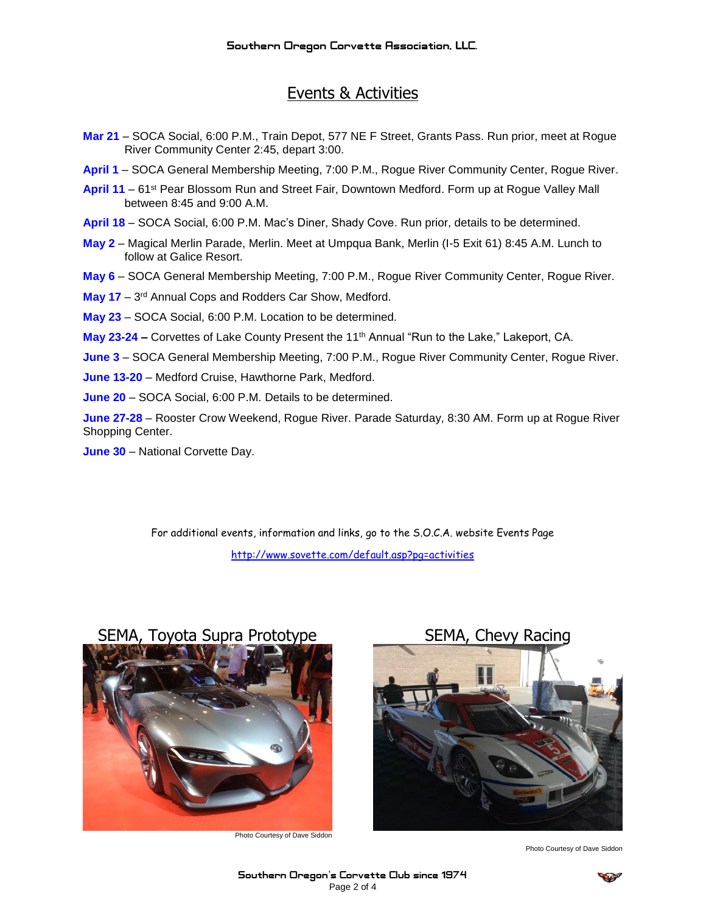# Events & Activities

- **Mar 21** SOCA Social, 6:00 P.M., Train Depot, 577 NE F Street, Grants Pass. Run prior, meet at Rogue River Community Center 2:45, depart 3:00.
- **April 1** SOCA General Membership Meeting, 7:00 P.M., Rogue River Community Center, Rogue River.
- April 11 61<sup>st</sup> Pear Blossom Run and Street Fair, Downtown Medford. Form up at Rogue Valley Mall between 8:45 and 9:00 A.M.
- **April 18** SOCA Social, 6:00 P.M. Mac's Diner, Shady Cove. Run prior, details to be determined.
- **May 2**  Magical Merlin Parade, Merlin. Meet at Umpqua Bank, Merlin (I-5 Exit 61) 8:45 A.M. Lunch to follow at Galice Resort.
- **May 6**  SOCA General Membership Meeting, 7:00 P.M., Rogue River Community Center, Rogue River.
- May 17 3<sup>rd</sup> Annual Cops and Rodders Car Show, Medford.
- **May 23**  SOCA Social, 6:00 P.M. Location to be determined.
- **May 23-24 –** Corvettes of Lake County Present the 11th Annual "Run to the Lake," Lakeport, CA.
- **June 3**  SOCA General Membership Meeting, 7:00 P.M., Rogue River Community Center, Rogue River.
- **June 13-20**  Medford Cruise, Hawthorne Park, Medford.
- **June 20**  SOCA Social, 6:00 P.M. Details to be determined.

**June 27-28** – Rooster Crow Weekend, Rogue River. Parade Saturday, 8:30 AM. Form up at Rogue River Shopping Center.

**June 30** – National Corvette Day.

For additional events, information and links, go to the S.O.C.A. website Events Page <http://www.sovette.com/default.asp?pg=activities>

### SEMA, Toyota Supra Prototype SEMA, Chevy Racing



Photo Courtesy of Dave Siddon



Photo Courtesy of Dave Siddon

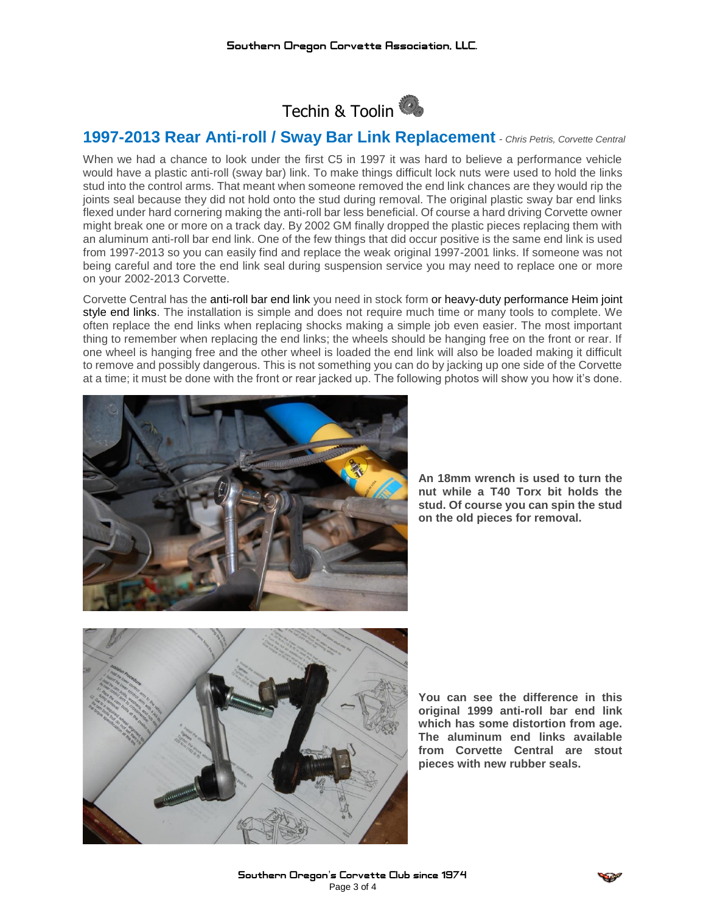

## **1997-2013 Rear Anti-roll / Sway Bar Link Replacement** *- Chris Petris, Corvette Central*

When we had a chance to look under the first C5 in 1997 it was hard to believe a performance vehicle would have a plastic anti-roll (sway bar) link. To make things difficult lock nuts were used to hold the links stud into the control arms. That meant when someone removed the end link chances are they would rip the joints seal because they did not hold onto the stud during removal. The original plastic sway bar end links flexed under hard cornering making the anti-roll bar less beneficial. Of course a hard driving Corvette owner might break one or more on a track day. By 2002 GM finally dropped the plastic pieces replacing them with an aluminum anti-roll bar end link. One of the few things that did occur positive is the same end link is used from 1997-2013 so you can easily find and replace the weak original 1997-2001 links. If someone was not being careful and tore the end link seal during suspension service you may need to replace one or more on your 2002-2013 Corvette.

Corvette Central has the [anti-roll bar end link](http://www.parts123.com/parts123/yb.dll?parta~dyndetail~Z5Z5Z50000050W~Z5Z5Z535088~P37.95~~~~S4360WY5AY12208339050x~Z5Z5Z5~Z5Z5Z50000050~~~) you need in stock form or [heavy-duty performance Heim joint](http://www.parts123.com/parts123/yb.dll?parta~dyndetail~Z5Z5Z50000050V~Z5Z5Z547703~P139.95~~~~S4360WY5AY12208339050x~Z5Z5Z5~Z5Z5Z50000050~~~)  [style end links.](http://www.parts123.com/parts123/yb.dll?parta~dyndetail~Z5Z5Z50000050V~Z5Z5Z547703~P139.95~~~~S4360WY5AY12208339050x~Z5Z5Z5~Z5Z5Z50000050~~~) The installation is simple and does not require much time or many tools to complete. We often replace the end links when replacing shocks making a simple job even easier. The most important thing to remember when replacing the end links; the wheels should be hanging free on the front or rear. If one wheel is hanging free and the other wheel is loaded the end link will also be loaded making it difficult to remove and possibly dangerous. This is not something you can do by jacking up one side of the Corvette at a time; it must be done with the front or rear jacked up. The following photos will show you how it's done.



**An 18mm wrench is used to turn the nut while a T40 Torx bit holds the stud. Of course you can spin the stud on the old pieces for removal.**



**You can see the difference in this original 1999 anti-roll bar end link which has some distortion from age. The aluminum end links available from Corvette Central are stout pieces with new rubber seals.**